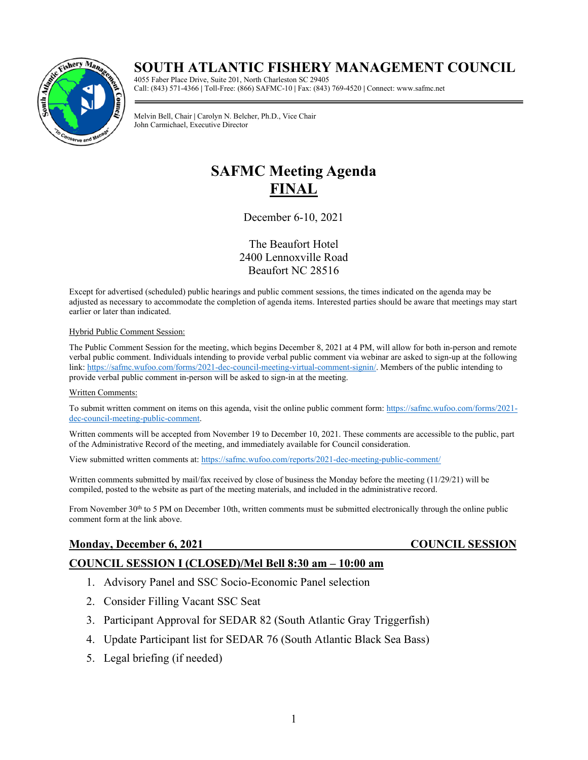# **SOUTH ATLANTIC FISHERY MANAGEMENT COUNCIL**



4055 Faber Place Drive, Suite 201, North Charleston SC 29405 Call: (843) 571-4366 **|** Toll-Free: (866) SAFMC-10 **|** Fax: (843) 769-4520 **|** Connect: www.safmc.net

Melvin Bell, Chair **|** Carolyn N. Belcher, Ph.D., Vice Chair John Carmichael, Executive Director

# **SAFMC Meeting Agenda FINAL**

December 6-10, 2021

The Beaufort Hotel 2400 Lennoxville Road Beaufort NC 28516

Except for advertised (scheduled) public hearings and public comment sessions, the times indicated on the agenda may be adjusted as necessary to accommodate the completion of agenda items. Interested parties should be aware that meetings may start earlier or later than indicated.

### Hybrid Public Comment Session:

The Public Comment Session for the meeting, which begins December 8, 2021 at 4 PM, will allow for both in-person and remote verbal public comment. Individuals intending to provide verbal public comment via webinar are asked to sign-up at the following link: [https://safmc.wufoo.com/forms/2021-dec-council-meeting-virtual-comment-signin/.](https://safmc.wufoo.com/forms/2021-dec-council-meeting-virtual-comment-signin/) Members of the public intending to provide verbal public comment in-person will be asked to sign-in at the meeting.

### Written Comments:

To submit written comment on items on this agenda, visit the online public comment form[: https://safmc.wufoo.com/forms/2021](https://safmc.wufoo.com/forms/2021-dec-council-meeting-public-comment) [dec-council-meeting-public-comment.](https://safmc.wufoo.com/forms/2021-dec-council-meeting-public-comment)

Written comments will be accepted from November 19 to December 10, 2021. These comments are accessible to the public, part of the Administrative Record of the meeting, and immediately available for Council consideration.

View submitted written comments at: <https://safmc.wufoo.com/reports/2021-dec-meeting-public-comment/>

Written comments submitted by mail/fax received by close of business the Monday before the meeting (11/29/21) will be compiled, posted to the website as part of the meeting materials, and included in the administrative record.

From November 30<sup>th</sup> to 5 PM on December 10th, written comments must be submitted electronically through the online public comment form at the link above.

# **Monday, December 6, 2021** COUNCIL SESSION

### **COUNCIL SESSION I (CLOSED)/Mel Bell 8:30 am – 10:00 am**

- 1. Advisory Panel and SSC Socio-Economic Panel selection
- 2. Consider Filling Vacant SSC Seat
- 3. Participant Approval for SEDAR 82 (South Atlantic Gray Triggerfish)
- 4. Update Participant list for SEDAR 76 (South Atlantic Black Sea Bass)
- 5. Legal briefing (if needed)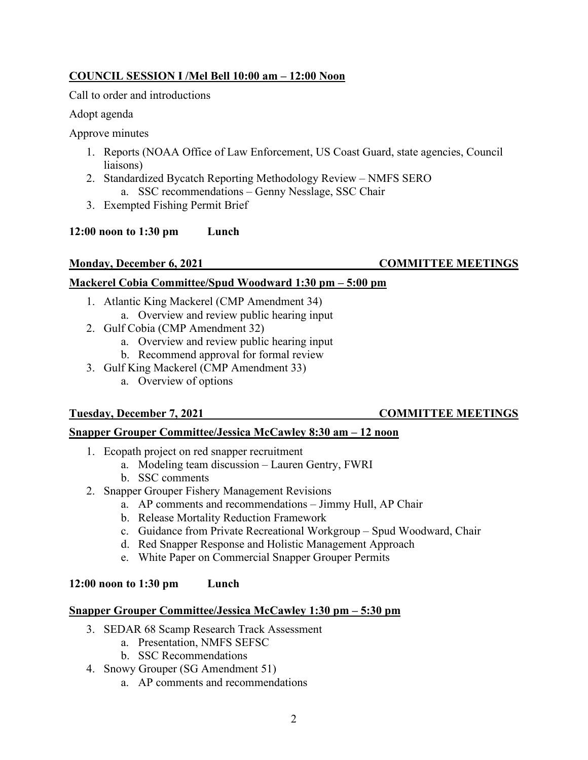# **COUNCIL SESSION I /Mel Bell 10:00 am – 12:00 Noon**

Call to order and introductions

Adopt agenda

Approve minutes

- 1. Reports (NOAA Office of Law Enforcement, US Coast Guard, state agencies, Council liaisons)
- 2. Standardized Bycatch Reporting Methodology Review NMFS SERO a. SSC recommendations – Genny Nesslage, SSC Chair
- 3. Exempted Fishing Permit Brief

# **12:00 noon to 1:30 pm Lunch**

# **Monday, December 6, 2021** COMMITTEE MEETINGS

# **Mackerel Cobia Committee/Spud Woodward 1:30 pm – 5:00 pm**

- 1. Atlantic King Mackerel (CMP Amendment 34) a. Overview and review public hearing input
- 2. Gulf Cobia (CMP Amendment 32)
	- a. Overview and review public hearing input
	- b. Recommend approval for formal review
- 3. Gulf King Mackerel (CMP Amendment 33)
	- a. Overview of options

# **Tuesday, December 7, 2021 COMMITTEE MEETINGS**

# **Snapper Grouper Committee/Jessica McCawley 8:30 am – 12 noon**

- 1. Ecopath project on red snapper recruitment
	- a. Modeling team discussion Lauren Gentry, FWRI
	- b. SSC comments
- 2. Snapper Grouper Fishery Management Revisions
	- a. AP comments and recommendations Jimmy Hull, AP Chair
	- b. Release Mortality Reduction Framework
	- c. Guidance from Private Recreational Workgroup Spud Woodward, Chair
	- d. Red Snapper Response and Holistic Management Approach
	- e. White Paper on Commercial Snapper Grouper Permits

# **12:00 noon to 1:30 pm Lunch**

# **Snapper Grouper Committee/Jessica McCawley 1:30 pm – 5:30 pm**

- 3. SEDAR 68 Scamp Research Track Assessment
	- a. Presentation, NMFS SEFSC
	- b. SSC Recommendations
- 4. Snowy Grouper (SG Amendment 51)
	- a. AP comments and recommendations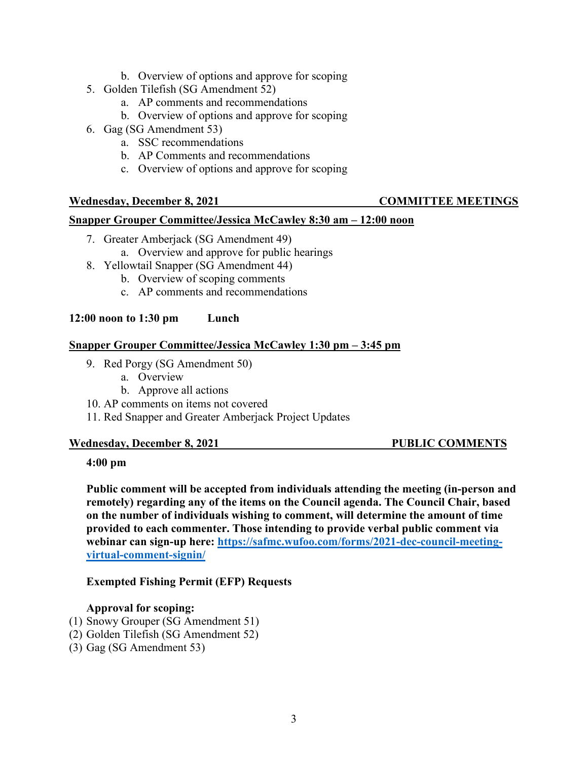- b. Overview of options and approve for scoping
- 5. Golden Tilefish (SG Amendment 52)
	- a. AP comments and recommendations
	- b. Overview of options and approve for scoping
- 6. Gag (SG Amendment 53)
	- a. SSC recommendations
	- b. AP Comments and recommendations
	- c. Overview of options and approve for scoping

## **Wednesday, December 8, 2021 COMMITTEE MEETINGS**

### **Snapper Grouper Committee/Jessica McCawley 8:30 am – 12:00 noon**

- 7. Greater Amberjack (SG Amendment 49)
	- a. Overview and approve for public hearings
- 8. Yellowtail Snapper (SG Amendment 44)
	- b. Overview of scoping comments
		- c. AP comments and recommendations

### **12:00 noon to 1:30 pm Lunch**

### **Snapper Grouper Committee/Jessica McCawley 1:30 pm – 3:45 pm**

- 9. Red Porgy (SG Amendment 50)
	- a. Overview
	- b. Approve all actions
- 10. AP comments on items not covered
- 11. Red Snapper and Greater Amberjack Project Updates

### **Wednesday, December 8, 2021 PUBLIC COMMENTS**

### **4:00 pm**

**Public comment will be accepted from individuals attending the meeting (in-person and remotely) regarding any of the items on the Council agenda. The Council Chair, based on the number of individuals wishing to comment, will determine the amount of time provided to each commenter. Those intending to provide verbal public comment via webinar can sign-up here: [https://safmc.wufoo.com/forms/2021-dec-council-meeting](https://safmc.wufoo.com/forms/2021-dec-council-meeting-virtual-comment-signin/)[virtual-comment-signin/](https://safmc.wufoo.com/forms/2021-dec-council-meeting-virtual-comment-signin/)**

### **Exempted Fishing Permit (EFP) Requests**

### **Approval for scoping:**

- (1) Snowy Grouper (SG Amendment 51)
- (2) Golden Tilefish (SG Amendment 52)
- (3) Gag (SG Amendment 53)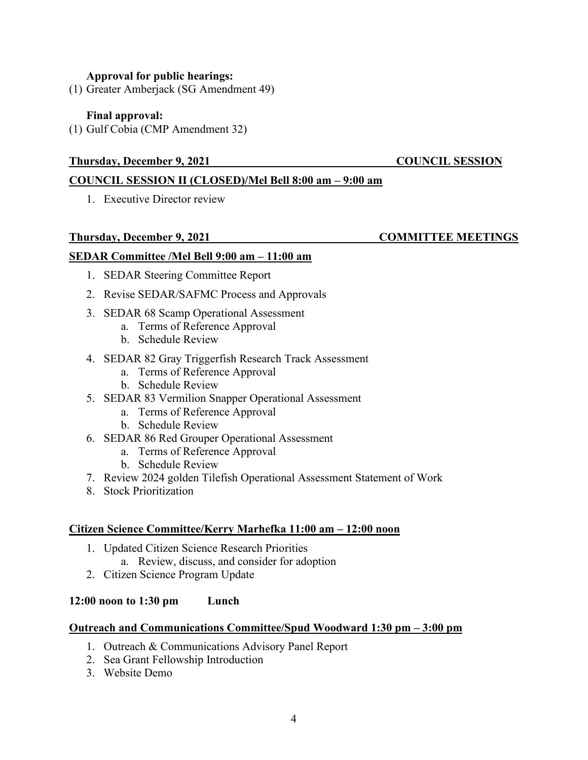### **Approval for public hearings:**

(1) Greater Amberjack (SG Amendment 49)

### **Final approval:**

(1) Gulf Cobia (CMP Amendment 32)

### **Thursday, December 9, 2021 COUNCIL SESSION**

### **COUNCIL SESSION II (CLOSED)/Mel Bell 8:00 am – 9:00 am**

1. Executive Director review

### **Thursday, December 9, 2021 COMMITTEE MEETINGS**

### **SEDAR Committee /Mel Bell 9:00 am – 11:00 am**

- 1. SEDAR Steering Committee Report
- 2. Revise SEDAR/SAFMC Process and Approvals
- 3. SEDAR 68 Scamp Operational Assessment
	- a. Terms of Reference Approval
	- b. Schedule Review
- 4. SEDAR 82 Gray Triggerfish Research Track Assessment
	- a. Terms of Reference Approval
	- b. Schedule Review
- 5. SEDAR 83 Vermilion Snapper Operational Assessment
	- a. Terms of Reference Approval
	- b. Schedule Review
- 6. SEDAR 86 Red Grouper Operational Assessment
	- a. Terms of Reference Approval
	- b. Schedule Review
- 7. Review 2024 golden Tilefish Operational Assessment Statement of Work
- 8. Stock Prioritization

### **Citizen Science Committee/Kerry Marhefka 11:00 am – 12:00 noon**

- 1. Updated Citizen Science Research Priorities
	- a. Review, discuss, and consider for adoption
- 2. Citizen Science Program Update

### **12:00 noon to 1:30 pm Lunch**

### **Outreach and Communications Committee/Spud Woodward 1:30 pm – 3:00 pm**

- 1. Outreach & Communications Advisory Panel Report
- 2. Sea Grant Fellowship Introduction
- 3. Website Demo